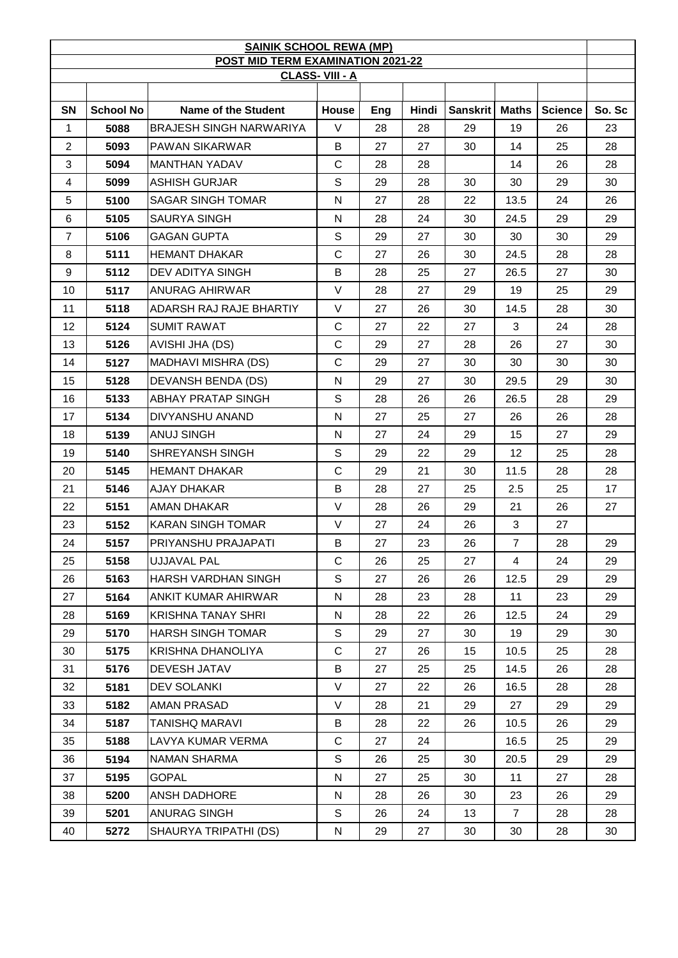| <b>SAINIK SCHOOL REWA (MP)</b>                             |                  |                                |              |     |       |                  |                |                |        |
|------------------------------------------------------------|------------------|--------------------------------|--------------|-----|-------|------------------|----------------|----------------|--------|
| POST MID TERM EXAMINATION 2021-22<br><b>CLASS-VIII - A</b> |                  |                                |              |     |       |                  |                |                |        |
|                                                            |                  |                                |              |     |       |                  |                |                |        |
| SN                                                         | <b>School No</b> | <b>Name of the Student</b>     | House        | Eng | Hindi | Sanskrit   Maths |                | <b>Science</b> | So. Sc |
| 1                                                          | 5088             | <b>BRAJESH SINGH NARWARIYA</b> | V            | 28  | 28    | 29               | 19             | 26             | 23     |
| $\overline{2}$                                             | 5093             | PAWAN SIKARWAR                 | B            | 27  | 27    | 30               | 14             | 25             | 28     |
| 3                                                          | 5094             | <b>MANTHAN YADAV</b>           | $\mathsf{C}$ | 28  | 28    |                  | 14             | 26             | 28     |
| 4                                                          | 5099             | ASHISH GURJAR                  | $\mathbb S$  | 29  | 28    | 30               | 30             | 29             | 30     |
| 5                                                          | 5100             | SAGAR SINGH TOMAR              | N            | 27  | 28    | 22               | 13.5           | 24             | 26     |
| 6                                                          | 5105             | <b>SAURYA SINGH</b>            | N            | 28  | 24    | 30               | 24.5           | 29             | 29     |
| $\overline{7}$                                             | 5106             | <b>GAGAN GUPTA</b>             | S            | 29  | 27    | 30               | 30             | 30             | 29     |
| 8                                                          | 5111             | <b>HEMANT DHAKAR</b>           | $\mathsf{C}$ | 27  | 26    | 30               | 24.5           | 28             | 28     |
| 9                                                          | 5112             | DEV ADITYA SINGH               | B            | 28  | 25    | 27               | 26.5           | 27             | 30     |
| 10                                                         | 5117             | ANURAG AHIRWAR                 | $\vee$       | 28  | 27    | 29               | 19             | 25             | 29     |
| 11                                                         | 5118             | ADARSH RAJ RAJE BHARTIY        | $\vee$       | 27  | 26    | 30               | 14.5           | 28             | 30     |
| 12 <sub>2</sub>                                            | 5124             | <b>SUMIT RAWAT</b>             | C            | 27  | 22    | 27               | 3              | 24             | 28     |
| 13                                                         | 5126             | AVISHI JHA (DS)                | $\mathsf{C}$ | 29  | 27    | 28               | 26             | 27             | 30     |
| 14                                                         | 5127             | MADHAVI MISHRA (DS)            | $\mathsf{C}$ | 29  | 27    | 30               | 30             | 30             | 30     |
| 15                                                         | 5128             | <b>DEVANSH BENDA (DS)</b>      | N            | 29  | 27    | 30               | 29.5           | 29             | 30     |
| 16                                                         | 5133             | ABHAY PRATAP SINGH             | S            | 28  | 26    | 26               | 26.5           | 28             | 29     |
| 17                                                         | 5134             | DIVYANSHU ANAND                | N            | 27  | 25    | 27               | 26             | 26             | 28     |
| 18                                                         | 5139             | <b>ANUJ SINGH</b>              | N            | 27  | 24    | 29               | 15             | 27             | 29     |
| 19                                                         | 5140             | SHREYANSH SINGH                | S            | 29  | 22    | 29               | 12             | 25             | 28     |
| 20                                                         | 5145             | <b>HEMANT DHAKAR</b>           | $\mathsf{C}$ | 29  | 21    | 30               | 11.5           | 28             | 28     |
| 21                                                         | 5146             | <b>AJAY DHAKAR</b>             | B            | 28  | 27    | 25               | 2.5            | 25             | 17     |
| 22                                                         | 5151             | AMAN DHAKAR                    | $\vee$       | 28  | 26    | 29               | 21             | 26             | 27     |
| 23                                                         | 5152             | <b>KARAN SINGH TOMAR</b>       | V            | 27  | 24    | 26               | 3              | 27             |        |
| 24                                                         | 5157             | PRIYANSHU PRAJAPATI            | B            | 27  | 23    | 26               | $\overline{7}$ | 28             | 29     |
| 25                                                         | 5158             | <b>UJJAVAL PAL</b>             | $\mathsf{C}$ | 26  | 25    | 27               | $\overline{4}$ | 24             | 29     |
| 26                                                         | 5163             | HARSH VARDHAN SINGH            | S            | 27  | 26    | 26               | 12.5           | 29             | 29     |
| 27                                                         | 5164             | ANKIT KUMAR AHIRWAR            | $\mathsf{N}$ | 28  | 23    | 28               | 11             | 23             | 29     |
| 28                                                         | 5169             | <b>KRISHNA TANAY SHRI</b>      | $\mathsf{N}$ | 28  | 22    | 26               | 12.5           | 24             | 29     |
| 29                                                         | 5170             | <b>HARSH SINGH TOMAR</b>       | $\mathsf S$  | 29  | 27    | 30               | 19             | 29             | 30     |
| 30                                                         | 5175             | KRISHNA DHANOLIYA              | $\mathsf{C}$ | 27  | 26    | 15               | 10.5           | 25             | 28     |
| 31                                                         | 5176             | <b>DEVESH JATAV</b>            | B            | 27  | 25    | 25               | 14.5           | 26             | 28     |
| 32                                                         | 5181             | <b>DEV SOLANKI</b>             | V            | 27  | 22    | 26               | 16.5           | 28             | 28     |
| 33                                                         | 5182             | AMAN PRASAD                    | V            | 28  | 21    | 29               | 27             | 29             | 29     |
| 34                                                         | 5187             | TANISHQ MARAVI                 | В            | 28  | 22    | 26               | 10.5           | 26             | 29     |
| 35                                                         | 5188             | LAVYA KUMAR VERMA              | $\mathbf C$  | 27  | 24    |                  | 16.5           | 25             | 29     |
| 36                                                         | 5194             | <b>NAMAN SHARMA</b>            | $\mathsf S$  | 26  | 25    | 30               | 20.5           | 29             | 29     |
| 37                                                         | 5195             | GOPAL                          | N            | 27  | 25    | 30               | 11             | 27             | 28     |
| 38                                                         | 5200             | <b>ANSH DADHORE</b>            | N            | 28  | 26    | 30               | 23             | 26             | 29     |
| 39                                                         | 5201             | <b>ANURAG SINGH</b>            | S            | 26  | 24    | 13               | $\overline{7}$ | 28             | 28     |
| 40                                                         | 5272             | SHAURYA TRIPATHI (DS)          | N            | 29  | 27    | 30               | 30             | 28             | 30     |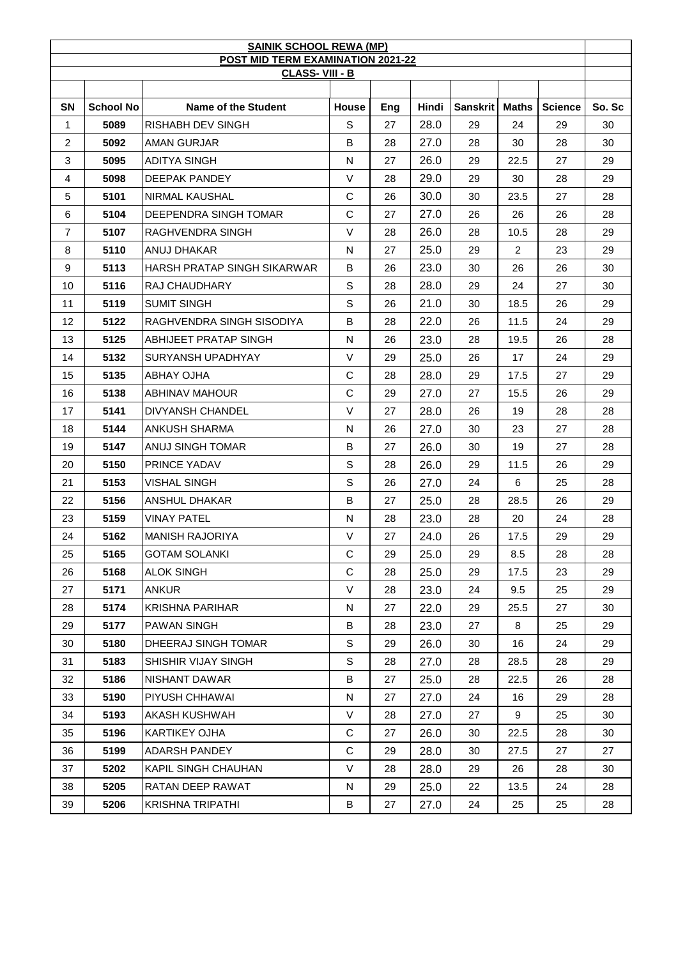| <b>SAINIK SCHOOL REWA (MP)</b>                                    |                  |                             |              |     |       |                 |              |                |        |
|-------------------------------------------------------------------|------------------|-----------------------------|--------------|-----|-------|-----------------|--------------|----------------|--------|
| <b>POST MID TERM EXAMINATION 2021-22</b><br><b>CLASS-VIII - B</b> |                  |                             |              |     |       |                 |              |                |        |
|                                                                   |                  |                             |              |     |       |                 |              |                |        |
| <b>SN</b>                                                         | <b>School No</b> | Name of the Student         | <b>House</b> | Eng | Hindi | <b>Sanskrit</b> | <b>Maths</b> | <b>Science</b> | So. Sc |
| $\mathbf{1}$                                                      | 5089             | <b>RISHABH DEV SINGH</b>    | S            | 27  | 28.0  | 29              | 24           | 29             | 30     |
| $\overline{c}$                                                    | 5092             | AMAN GURJAR                 | В            | 28  | 27.0  | 28              | 30           | 28             | 30     |
| 3                                                                 | 5095             | ADITYA SINGH                | N            | 27  | 26.0  | 29              | 22.5         | 27             | 29     |
| 4                                                                 | 5098             | DEEPAK PANDEY               | V            | 28  | 29.0  | 29              | 30           | 28             | 29     |
| 5                                                                 | 5101             | NIRMAL KAUSHAL              | С            | 26  | 30.0  | 30              | 23.5         | 27             | 28     |
| 6                                                                 | 5104             | DEEPENDRA SINGH TOMAR       | С            | 27  | 27.0  | 26              | 26           | 26             | 28     |
| $\overline{7}$                                                    | 5107             | RAGHVENDRA SINGH            | V            | 28  | 26.0  | 28              | 10.5         | 28             | 29     |
| 8                                                                 | 5110             | ANUJ DHAKAR                 | N            | 27  | 25.0  | 29              | 2            | 23             | 29     |
| 9                                                                 | 5113             | HARSH PRATAP SINGH SIKARWAR | B            | 26  | 23.0  | 30              | 26           | 26             | 30     |
| 10                                                                | 5116             | RAJ CHAUDHARY               | S            | 28  | 28.0  | 29              | 24           | 27             | 30     |
| 11                                                                | 5119             | <b>SUMIT SINGH</b>          | S            | 26  | 21.0  | 30              | 18.5         | 26             | 29     |
| 12                                                                | 5122             | RAGHVENDRA SINGH SISODIYA   | В            | 28  | 22.0  | 26              | 11.5         | 24             | 29     |
| 13                                                                | 5125             | ABHIJEET PRATAP SINGH       | N            | 26  | 23.0  | 28              | 19.5         | 26             | 28     |
| 14                                                                | 5132             | SURYANSH UPADHYAY           | $\vee$       | 29  | 25.0  | 26              | 17           | 24             | 29     |
| 15                                                                | 5135             | ABHAY OJHA                  | С            | 28  | 28.0  | 29              | 17.5         | 27             | 29     |
| 16                                                                | 5138             | <b>ABHINAV MAHOUR</b>       | C            | 29  | 27.0  | 27              | 15.5         | 26             | 29     |
| 17                                                                | 5141             | <b>DIVYANSH CHANDEL</b>     | $\vee$       | 27  | 28.0  | 26              | 19           | 28             | 28     |
| 18                                                                | 5144             | ANKUSH SHARMA               | N            | 26  | 27.0  | 30              | 23           | 27             | 28     |
| 19                                                                | 5147             | ANUJ SINGH TOMAR            | B            | 27  | 26.0  | 30              | 19           | 27             | 28     |
| 20                                                                | 5150             | PRINCE YADAV                | S            | 28  | 26.0  | 29              | 11.5         | 26             | 29     |
| 21                                                                | 5153             | VISHAL SINGH                | S            | 26  | 27.0  | 24              | 6            | 25             | 28     |
| 22                                                                | 5156             | <b>ANSHUL DHAKAR</b>        | B            | 27  | 25.0  | 28              | 28.5         | 26             | 29     |
| 23                                                                | 5159             | <b>VINAY PATEL</b>          | N            | 28  | 23.0  | 28              | 20           | 24             | 28     |
| 24                                                                | 5162             | MANISH RAJORIYA             | V            | 27  | 24.0  | 26              | 17.5         | 29             | 29     |
| 25                                                                | 5165             | <b>GOTAM SOLANKI</b>        | C            | 29  | 25.0  | 29              | 8.5          | 28             | 28     |
| 26                                                                | 5168             | <b>ALOK SINGH</b>           | C            | 28  | 25.0  | 29              | 17.5         | 23             | 29     |
| 27                                                                | 5171             | <b>ANKUR</b>                | $\vee$       | 28  | 23.0  | 24              | 9.5          | 25             | 29     |
| 28                                                                | 5174             | KRISHNA PARIHAR             | N            | 27  | 22.0  | 29              | 25.5         | 27             | 30     |
| 29                                                                | 5177             | <b>PAWAN SINGH</b>          | В            | 28  | 23.0  | 27              | 8            | 25             | 29     |
| 30                                                                | 5180             | DHEERAJ SINGH TOMAR         | S            | 29  | 26.0  | 30              | 16           | 24             | 29     |
| 31                                                                | 5183             | SHISHIR VIJAY SINGH         | S            | 28  | 27.0  | 28              | 28.5         | 28             | 29     |
| 32                                                                | 5186             | NISHANT DAWAR               | B            | 27  | 25.0  | 28              | 22.5         | 26             | 28     |
| 33                                                                | 5190             | PIYUSH CHHAWAI              | N            | 27  | 27.0  | 24              | 16           | 29             | 28     |
| 34                                                                | 5193             | AKASH KUSHWAH               | V            | 28  | 27.0  | 27              | 9            | 25             | 30     |
| 35                                                                | 5196             | KARTIKEY OJHA               | C            | 27  | 26.0  | 30              | 22.5         | 28             | 30     |
| 36                                                                | 5199             | ADARSH PANDEY               | C            | 29  | 28.0  | 30              | 27.5         | 27             | 27     |
| 37                                                                | 5202             | KAPIL SINGH CHAUHAN         | V            | 28  | 28.0  | 29              | 26           | 28             | 30     |
| 38                                                                | 5205             | RATAN DEEP RAWAT            | N            | 29  | 25.0  | 22              | 13.5         | 24             | 28     |
| 39                                                                | 5206             | KRISHNA TRIPATHI            | В            | 27  | 27.0  | 24              | 25           | 25             | 28     |